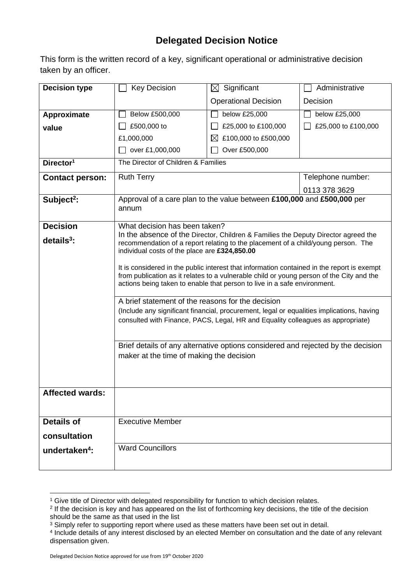## **Delegated Decision Notice**

This form is the written record of a key, significant operational or administrative decision taken by an officer.

| <b>Decision type</b>      | <b>Key Decision</b>                                                                                                                                                                                                                                                                                                                                                                                                                                                                                                                                                                                                                                                                                                                 | $\boxtimes$ Significant                                                          | Administrative      |  |
|---------------------------|-------------------------------------------------------------------------------------------------------------------------------------------------------------------------------------------------------------------------------------------------------------------------------------------------------------------------------------------------------------------------------------------------------------------------------------------------------------------------------------------------------------------------------------------------------------------------------------------------------------------------------------------------------------------------------------------------------------------------------------|----------------------------------------------------------------------------------|---------------------|--|
|                           |                                                                                                                                                                                                                                                                                                                                                                                                                                                                                                                                                                                                                                                                                                                                     | <b>Operational Decision</b>                                                      | Decision            |  |
| Approximate               | Below £500,000                                                                                                                                                                                                                                                                                                                                                                                                                                                                                                                                                                                                                                                                                                                      | below £25,000                                                                    | below £25,000       |  |
| value                     | £500,000 to                                                                                                                                                                                                                                                                                                                                                                                                                                                                                                                                                                                                                                                                                                                         | £25,000 to £100,000                                                              | £25,000 to £100,000 |  |
|                           | £1,000,000                                                                                                                                                                                                                                                                                                                                                                                                                                                                                                                                                                                                                                                                                                                          | £100,000 to £500,000<br>$\bowtie$                                                |                     |  |
|                           | over £1,000,000                                                                                                                                                                                                                                                                                                                                                                                                                                                                                                                                                                                                                                                                                                                     | Over £500,000                                                                    |                     |  |
| Director <sup>1</sup>     | The Director of Children & Families                                                                                                                                                                                                                                                                                                                                                                                                                                                                                                                                                                                                                                                                                                 |                                                                                  |                     |  |
| <b>Contact person:</b>    | <b>Ruth Terry</b>                                                                                                                                                                                                                                                                                                                                                                                                                                                                                                                                                                                                                                                                                                                   |                                                                                  | Telephone number:   |  |
|                           |                                                                                                                                                                                                                                                                                                                                                                                                                                                                                                                                                                                                                                                                                                                                     |                                                                                  | 0113 378 3629       |  |
| Subject <sup>2</sup> :    | Approval of a care plan to the value between £100,000 and £500,000 per<br>annum                                                                                                                                                                                                                                                                                                                                                                                                                                                                                                                                                                                                                                                     |                                                                                  |                     |  |
| <b>Decision</b>           | What decision has been taken?                                                                                                                                                                                                                                                                                                                                                                                                                                                                                                                                                                                                                                                                                                       |                                                                                  |                     |  |
| $details3$ :              | In the absence of the Director, Children & Families the Deputy Director agreed the<br>recommendation of a report relating to the placement of a child/young person. The<br>individual costs of the place are £324,850.00<br>It is considered in the public interest that information contained in the report is exempt<br>from publication as it relates to a vulnerable child or young person of the City and the<br>actions being taken to enable that person to live in a safe environment.<br>A brief statement of the reasons for the decision<br>(Include any significant financial, procurement, legal or equalities implications, having<br>consulted with Finance, PACS, Legal, HR and Equality colleagues as appropriate) |                                                                                  |                     |  |
|                           |                                                                                                                                                                                                                                                                                                                                                                                                                                                                                                                                                                                                                                                                                                                                     |                                                                                  |                     |  |
|                           | maker at the time of making the decision                                                                                                                                                                                                                                                                                                                                                                                                                                                                                                                                                                                                                                                                                            | Brief details of any alternative options considered and rejected by the decision |                     |  |
| <b>Affected wards:</b>    |                                                                                                                                                                                                                                                                                                                                                                                                                                                                                                                                                                                                                                                                                                                                     |                                                                                  |                     |  |
| Details of                | <b>Executive Member</b>                                                                                                                                                                                                                                                                                                                                                                                                                                                                                                                                                                                                                                                                                                             |                                                                                  |                     |  |
| consultation              |                                                                                                                                                                                                                                                                                                                                                                                                                                                                                                                                                                                                                                                                                                                                     |                                                                                  |                     |  |
| undertaken <sup>4</sup> : | <b>Ward Councillors</b>                                                                                                                                                                                                                                                                                                                                                                                                                                                                                                                                                                                                                                                                                                             |                                                                                  |                     |  |

<sup>&</sup>lt;sup>1</sup> Give title of Director with delegated responsibility for function to which decision relates.

<sup>2</sup> If the decision is key and has appeared on the list of forthcoming key decisions, the title of the decision should be the same as that used in the list

<sup>&</sup>lt;sup>3</sup> Simply refer to supporting report where used as these matters have been set out in detail.

<sup>4</sup> Include details of any interest disclosed by an elected Member on consultation and the date of any relevant dispensation given.

Delegated Decision Notice approved for use from 19th October 2020